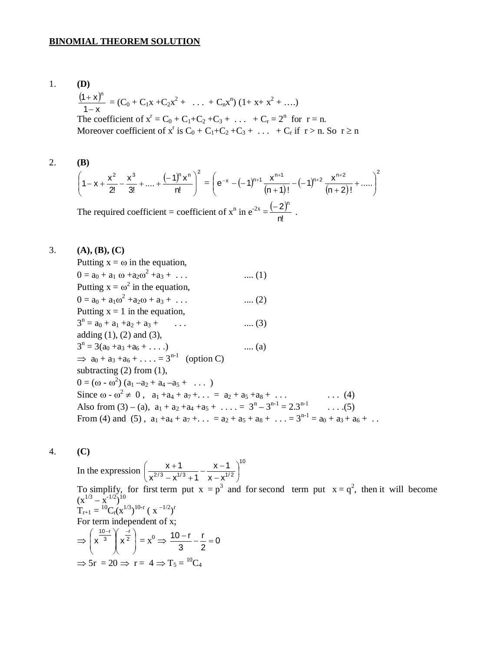#### **BINOMIAL THEOREM SOLUTION**

1. **(D)**  $(1+x)^r$  $1 - x$  $(1 + x)^n$ - $\frac{+ \mathbf{x}^n}{\mathbf{x}^n} = (C_0 + C_1 \mathbf{x} + C_2 \mathbf{x}^2 + \dots + C_n \mathbf{x}^n) (1 + \mathbf{x} + \mathbf{x}^2 + \dots)$ The coefficient of  $x^r = C_0 + C_1 + C_2 + C_3 + ... + C_r = 2^n$  for  $r = n$ . Moreover coefficient of  $x^r$  is  $C_0 + C_1 + C_2 + C_3 + \ldots + C_r$  if  $r > n$ . So  $r \ge n$ 

2. **(B)** 

$$
\left(1-x+\frac{x^2}{2!}-\frac{x^3}{3!}+....+\frac{(-1)^n x^n}{n!}\right)^2 = \left(e^{-x}-(-1)^{n+1}\frac{x^{n+1}}{(n+1)!}-(-1)^{n+2}\frac{x^{n+2}}{(n+2)!}+.....\right)^2
$$

The required coefficient = coefficient of  $x^n$  in  $e^{-2x} = \frac{(-2)^n}{\sqrt{n}}$ n!  $\frac{(-2)^n}{2}$ .

3. **(A), (B), (C)**

Putting  $x = \omega$  in the equation,  $0 = a_0 + a_1 \omega + a_2 \omega^2 + a_3 + \dots$  (1) Putting  $x = \omega^2$  in the equation,  $0 = a_0 + a_1 \omega^2 + a_2 \omega + a_3 + \dots$  (2) Putting  $x = 1$  in the equation,  $3<sup>n</sup> = a<sub>0</sub> + a<sub>1</sub> + a<sub>2</sub> + a<sub>3</sub> + \dots$  (3) adding  $(1)$ ,  $(2)$  and  $(3)$ ,  $3<sup>n</sup> = 3(a<sub>0</sub> + a<sub>3</sub> + a<sub>6</sub> + ... )$  .... (a)  $\implies$  a<sub>0</sub> + a<sub>3</sub> + a<sub>6</sub> + . . . . = 3<sup>n-1</sup> (option C) subtracting (2) from (1),  $0 = (\omega - \omega^2) (a_1 - a_2 + a_4 - a_5 + \dots)$ Since  $\omega$  -  $\omega^2 \neq 0$ ,  $a_1 + a_4 + a_7 + \ldots = a_2 + a_5 + a_8 + \ldots$  (4) Since  $\omega$  -  $\omega^2 \neq 0$ ,  $a_1 + a_4 + a_7 + ... = a_2 + a_5 + a_8 + ...$ Also from (3) – (a),  $a_1 + a_2 + a_4 + a_5 + \ldots = 3^n - 3^{n-1} = 2 \cdot 3^{n-1} \quad \ldots (5)$ From (4) and (5),  $a_1 + a_4 + a_7 + ... = a_2 + a_5 + a_8 + ... = 3^{n-1} = a_0 + a_3 + a_6 + ...$ 

# 4. **(C)**

In the expression 10 2/3  $\sqrt{1/3}$  1  $\sqrt{1/2}$  $(x^{2/3} - x^{1/3} + 1 \quad x - x^{1/2})$  $\left(\frac{x+1}{2(3-1/3)} - \frac{x-1}{1/2}\right)$ To simplify, for first term put  $x = p^3$  and for second term put  $x = q^2$ , then it will become  $(x^{1/3} - x^{-1/2})^{10}$  $T_{r+1} = {}^{10}C_r (x^{1/3})^{10-r} (x^{-1/2})^r$ For term independent of x;  $\Rightarrow$   $x^{\overline{3}}$   $x^{\overline{2}}$ J  $\setminus$ l L  $\overline{\phantom{0}}$ ſ  $\overline{\phantom{a}}$ I J  $\backslash$  $\overline{\phantom{a}}$ I  $\setminus$  $\left( \frac{10-r}{2} \right)$ 2 r 3  $x^{\frac{10-r}{3}}$  $\left(x^{\frac{-r}{2}}\right) = x^0 \Rightarrow \frac{10-r}{2} - \frac{r}{2} = 0$ 2 r 3  $\frac{10-r}{2} - \frac{r}{2} =$  $\Rightarrow$  5r = 20  $\Rightarrow$  r = 4  $\Rightarrow$  T<sub>5</sub> = <sup>10</sup>C<sub>4</sub>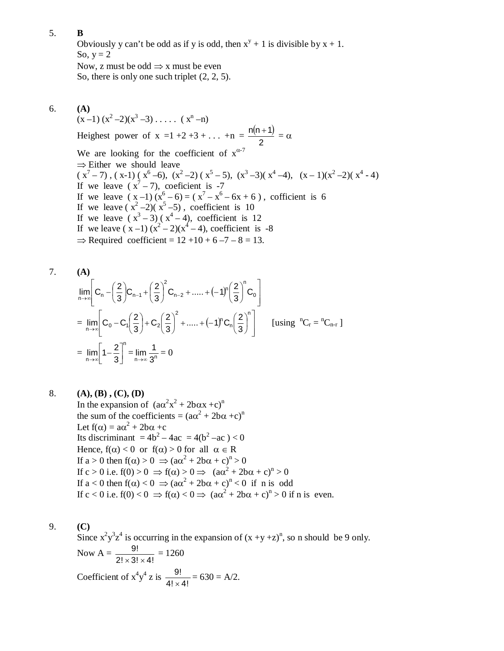Obviously y can't be odd as if y is odd, then  $x^y + 1$  is divisible by  $x + 1$ . So,  $y = 2$ Now, z must be odd  $\Rightarrow$  x must be even So, there is only one such triplet (2, 2, 5).

6. **(A)**

 $(x-1)(x^2-2)(x^3-3) \ldots (x^n-n)$ Heighest power of x =1 +2 +3 + . . . +n =  $\frac{n(n+1)}{2}$ 2  $\frac{n(n+1)}{2} = \alpha$ We are looking for the coefficient of  $x^{\alpha-7}$  $\Rightarrow$  Either we should leave  $(x^{7}-7)$ ,  $(x-1)(x^{6}-6)$ ,  $(x^{2}-2)(x^{5}-5)$ ,  $(x^{3}-3)(x^{4}-4)$ ,  $(x-1)(x^{2}-2)(x^{4}-4)$ If we leave  $(x^7 - 7)$ , coeficient is -7 If we leave  $(x-1)(x^6-6) = (x^7 - x^6 - 6x + 6)$ , cofficient is 6 If we leave  $(x^2-2)(x^5-5)$ , coefficient is 10 If we leave  $(x^3-3)(x^4-4)$ , coefficient is 12 If we leave  $(x-1)(x^2-2)(x^4-4)$ , coefficient is -8  $\Rightarrow$  Required coefficient = 12 +10 + 6 -7 - 8 = 13.

7. **(A)**  
\n
$$
\lim_{n \to \infty} \left[ C_n - \left( \frac{2}{3} \right) C_{n-1} + \left( \frac{2}{3} \right)^2 C_{n-2} + \dots + (-1)^n \left( \frac{2}{3} \right)^n C_0 \right]
$$
\n
$$
= \lim_{n \to \infty} \left[ C_0 - C_1 \left( \frac{2}{3} \right) + C_2 \left( \frac{2}{3} \right)^2 + \dots + (-1)^n C_n \left( \frac{2}{3} \right)^n \right] \quad \text{[using } {}^{n}C_r = {}^{n}C_{n-r} \text{]}
$$
\n
$$
= \lim_{n \to \infty} \left[ 1 - \frac{2}{3} \right]^{n} = \lim_{n \to \infty} \frac{1}{3^n} = 0
$$

8. **(A), (B) , (C), (D)** In the expansion of  $(a\alpha^2x^2 + 2b\alpha x + c)^n$ the sum of the coefficients =  $(a\alpha^2 + 2b\alpha + c)^n$ Let  $f(\alpha) = a\alpha^2 + 2b\alpha + c$ Its discriminant  $= 4b^2 - 4ac = 4(b^2 - ac) < 0$ Hence,  $f(\alpha) < 0$  or  $f(\alpha) > 0$  for all  $\alpha \in R$ If  $a > 0$  then  $f(\alpha) > 0 \implies (a\alpha^2 + 2b\alpha + c)^n > 0$ If  $c > 0$  i.e.  $f(0) > 0 \Rightarrow f(\alpha) > 0 \Rightarrow (\alpha \alpha^2 + 2b\alpha + c)^n > 0$ If  $a < 0$  then  $f(\alpha) < 0 \Rightarrow (\alpha \alpha^2 + 2b\alpha + c)^n < 0$  if n is odd If  $c < 0$  i.e.  $f(0) < 0 \Rightarrow f(\alpha) < 0 \Rightarrow (\alpha \alpha^2 + 2b\alpha + c)^n > 0$  if n is even.

9. **(C)**

Since  $x^2y^3z^4$  is occurring in the expansion of  $(x +y +z)^n$ , so n should be 9 only. Now  $A = \frac{3!}{2! \times 3! \times 4!}$ 9!  $\frac{3!}{\times 3! \times 4!} = 1260$ Coefficient of  $x^4y^4$  z is  $\frac{9!}{4! \times 4!}$ 9!  $\frac{3!}{\times 4!}$  = 630 = A/2.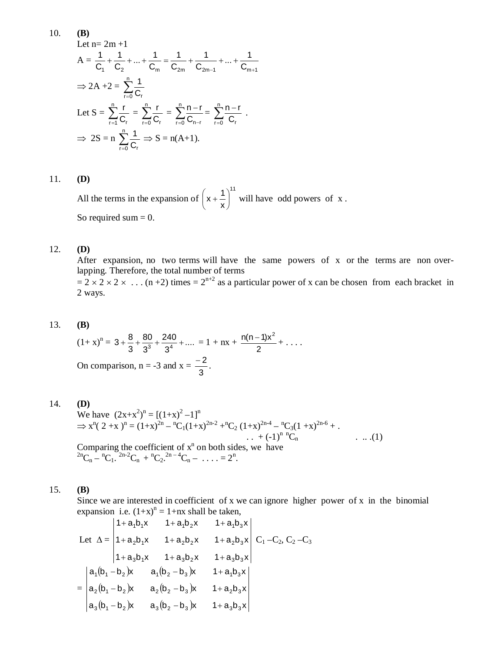10. **(B)** Let  $n=2m+1$  $A =$  $C_1$   $C_2$   $C_m$   $C_{2m}$   $C_{2m-1}$   $C_{m+1}$  $\frac{1}{C_{2m-1}} + ... + \frac{1}{C_m}$ 1 C 1 C  $\frac{1}{C_2} + ... + \frac{1}{C_n}$ 1 C 1  $-1$   $\mathbf{v}_{m+}$  $+\frac{1}{2}+\ldots+\frac{1}{2}=\frac{1}{2}+\frac{1}{2}+\ldots+$  $\Rightarrow$  2A +2 =  $\sum_{r=0}^{n}$  $\sum_{r=0}$  C<sub>r</sub> 1 Let  $S = \sum_{r=1}^{n}$  $\sum_{r=1}$  C<sub>r</sub>  $\frac{r}{r} = \sum_{r=0}^{n}$  $\sum_{r=0}$  C<sub>r</sub>  $\frac{r}{c_r} = \sum_{r=0}^{n} \frac{n-r}{C_{n-r}}$  $\sum_{r=0}$  C<sub>n-r</sub>  $\frac{n-r}{C_{n-r}} = \sum_{r=0}^{n} \frac{n-r}{C_r}$  $\sum_{r=0}$  C<sub>r</sub>  $\frac{n-r}{2}$ .  $\Rightarrow$  2S = n  $\sum_{r=0}^{n}$  $\sum_{r=0}$  C<sub>r</sub>  $\frac{1}{2} \Rightarrow S = n(A+1).$ 

#### 11. **(D)**

All the terms in the expansion of 11 x  $x + \frac{1}{x}$ J  $\left(x+\frac{1}{x}\right)$  $\overline{\phantom{0}}$  $\left(x + \frac{1}{x}\right)^{n}$  will have odd powers of x. So required sum  $= 0$ .

#### 12. **(D)**

After expansion, no two terms will have the same powers of x or the terms are non overlapping. Therefore, the total number of terms  $= 2 \times 2 \times 2 \times ...$  (n +2) times =  $2^{n+2}$  as a particular power of x can be chosen from each bracket in

2 ways.

#### 13. **(B)**

 $(1+x)^n = 3 + \frac{8}{3} + \frac{80}{3} + \frac{240}{3} + \dots$ 3 240 3 80 3  $3 + \frac{8}{3} + \frac{80}{3^3} + \frac{240}{3^4} + \dots = 1 + nx + \frac{n(n-1)}{2}$  $\frac{n(n-1)x^2}{2} + \ldots$ On comparison,  $n = -3$  and  $x = -\frac{3}{3}$  $\frac{-2}{2}$ .

#### 14. **(D)**

We have  $(2x+x^2)^n = [(1+x)^2 - 1]^n$  $\Rightarrow$  x<sup>n</sup>(2+x)<sup>n</sup> = (1+x)<sup>2n</sup> - <sup>n</sup>C<sub>1</sub>(1+x)<sup>2n-2</sup> +<sup>n</sup>C<sub>2</sub> (1+x)<sup>2n-4</sup> - <sup>n</sup>C<sub>3</sub>(1+x)<sup>2n-6</sup> +. ..  $+(-1)^{n} C_n$  ... (1) Comparing the coefficient of  $x^n$  on both sides, we have  ${}^{2n}C_n - {}^{n}C_1. \, {}^{2n-2}C_n + {}^{n}C_2. \, {}^{2n-4}C_n - \ldots = 2^n.$ 

#### 15. **(B)**

Since we are interested in coefficient of x we can ignore higher power of x in the binomial expansion i.e.  $(1+x)^n = 1+nx$  shall be taken,

Let 
$$
\Delta = \begin{vmatrix} 1 + a_1b_1x & 1 + a_1b_2x & 1 + a_1b_3x \\ 1 + a_2b_1x & 1 + a_2b_2x & 1 + a_2b_3x \\ 1 + a_3b_1x & 1 + a_3b_2x & 1 + a_3b_3x \end{vmatrix} C_1 - C_2, C_2 - C_3
$$

$$
= \begin{vmatrix} a_1(b_1 - b_2)x & a_1(b_2 - b_3)x & 1 + a_1b_3x \\ a_2(b_1 - b_2)x & a_2(b_2 - b_3)x & 1 + a_2b_3x \\ a_3(b_1 - b_2)x & a_3(b_2 - b_3)x & 1 + a_3b_3x \end{vmatrix}
$$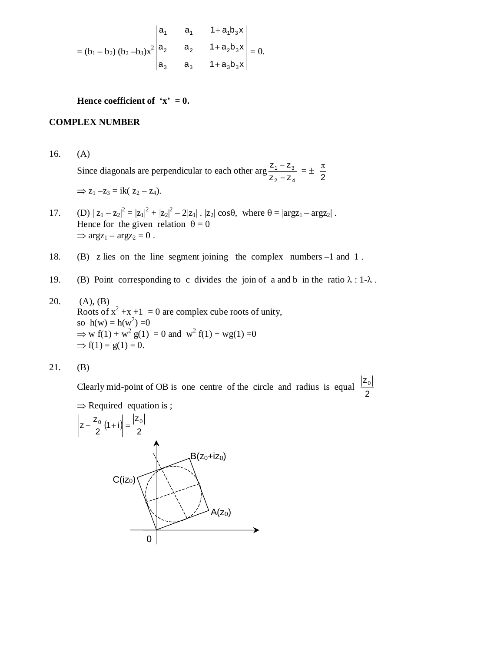$$
= (b_1 - b_2) (b_2 - b_3) x^2 \begin{vmatrix} a_1 & a_1 & 1 + a_1 b_3 x \\ a_2 & a_2 & 1 + a_2 b_3 x \\ a_3 & a_3 & 1 + a_3 b_3 x \end{vmatrix} = 0.
$$

**Hence coefficient of 'x' = 0.** 

#### **COMPLEX NUMBER**

16. (A) Since diagonals are perpendicular to each other arg  $2 - 4$  $1 - 23$  $\mathsf{z}_2$  –  $\mathsf{z}$  $Z_1 - Z$ - $\frac{-z_3}{-z_4} = \pm \frac{\pi}{2}$  $\pi$  $\Rightarrow$  z<sub>1</sub> –z<sub>3</sub> = ik( z<sub>2</sub> – z<sub>4</sub>).

- 17. (D)  $|z_1 z_2|^2 = |z_1|^2 + |z_2|^2 2|z_1|$ .  $|z_2| \cos\theta$ , where  $\theta = |\arg z_1 \arg z_2|$ . Hence for the given relation  $\theta = 0$  $\Rightarrow \arg z_1 - \arg z_2 = 0$ .
- 18. (B) z lies on the line segment joining the complex numbers –1 and 1 .
- 19. (B) Point corresponding to c divides the join of a and b in the ratio  $\lambda : 1-\lambda$ .
- 20. (A), (B) Roots of  $x^2 + x + 1 = 0$  are complex cube roots of unity, so  $h(w) = h(w^2) = 0$  $\Rightarrow$  w f(1) + w<sup>2</sup> g(1) = 0 and w<sup>2</sup> f(1) + wg(1) = 0  $\Rightarrow$  f(1) = g(1) = 0.

$$
21. \t(B)
$$

Clearly mid-point of OB is one centre of the circle and radius is equal  $\frac{1}{2}$  $z<sub>0</sub>$ 

 $\Rightarrow$  Required equation is ;

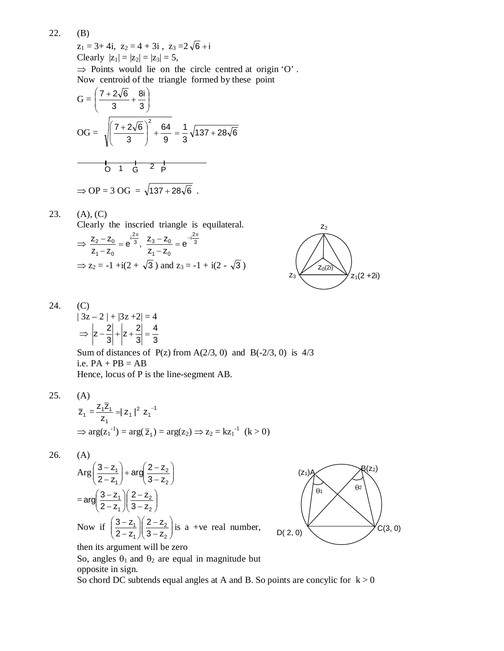22. (B)  $z_1 = 3 + 4i$ ,  $z_2 = 4 + 3i$ ,  $z_3 = 2\sqrt{6} + i$ Clearly  $|z_1| = |z_2| = |z_3| = 5$ ,  $\Rightarrow$  Points would lie on the circle centred at origin 'O'. Now centroid of the triangle formed by these point

$$
G = \left(\frac{7 + 2\sqrt{6}}{3} + \frac{8i}{3}\right)
$$
  
\n
$$
OG = \sqrt{\left(\frac{7 + 2\sqrt{6}}{3}\right)^2 + \frac{64}{9}} = \frac{1}{3}\sqrt{137 + 28\sqrt{6}}
$$
  
\n
$$
O = \sqrt{1 \cdot \frac{1}{6} + \frac{1}{2}} = \sqrt{137 + 28\sqrt{6}}.
$$

23. (A), (C)  
\nClearly the inscribed triangle is equilateral.  
\n
$$
\Rightarrow \frac{z_2 - z_0}{z_1 - z_0} = e^{\frac{z_2}{3}}, \frac{z_3 - z_0}{z_1 - z_0} = e^{\frac{-i2\pi}{3}}
$$
\n
$$
\Rightarrow z_2 = -1 + i(2 + \sqrt{3}) \text{ and } z_3 = -1 + i(2 - \sqrt{3})
$$



$$
24. (C)
$$

$$
|3z - 2| + |3z + 2| = 4
$$
  
\n
$$
\Rightarrow |z - \frac{2}{3}| + |z + \frac{2}{3}| = \frac{4}{3}
$$
  
\nSum of distances of P(z) from A(2/3, 0) and B(-2/3, 0) is 4/3  
\ni.e. PA + PB = AB  
\nHence, locus of P is the line-segment AB.

25. (A)  
\n
$$
\overline{z}_1 = \frac{z_1 \overline{z}_1}{z_1} = |z_1|^2 |z_1^{-1}|
$$
\n
$$
\Rightarrow \arg(z_1^{-1}) = \arg(\overline{z}_1) = \arg(z_2) \Rightarrow z_2 = kz_1^{-1} \text{ (k > 0)}
$$

$$
26. (A)
$$

$$
\text{Arg}\left(\frac{3-z_1}{2-z_1}\right) + \text{arg}\left(\frac{2-z_2}{3-z_2}\right)
$$
\n
$$
= \text{arg}\left(\frac{3-z_1}{2-z_1}\right) \left(\frac{2-z_2}{3-z_2}\right)
$$
\nNow if

\n
$$
\left(\frac{3-z_1}{2-z_1}\right) \left(\frac{2-z_2}{3-z_2}\right)
$$
\nis a +ve real number,

\nthen is a square at will be zero.



then its argument will be zero

So, angles  $\theta_1$  and  $\theta_2$  are equal in magnitude but opposite in sign.

So chord DC subtends equal angles at A and B. So points are concylic for  $k > 0$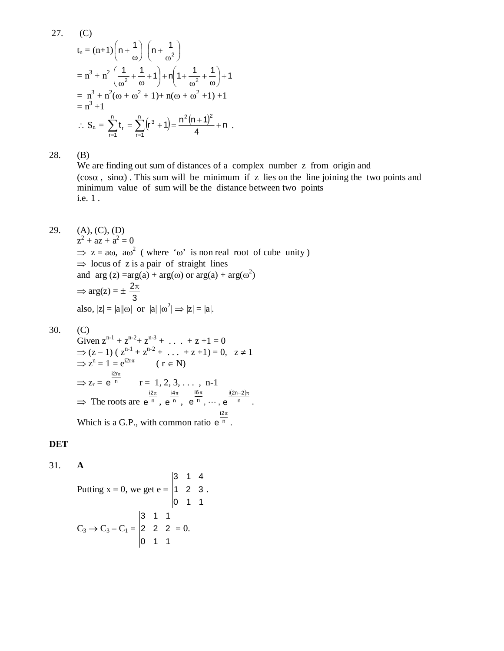27. (C)  
\n
$$
t_n = (n+1) \left( n + \frac{1}{\omega} \right) \left( n + \frac{1}{\omega^2} \right)
$$
\n
$$
= n^3 + n^2 \left( \frac{1}{\omega^2} + \frac{1}{\omega} + 1 \right) + n \left( 1 + \frac{1}{\omega^2} + \frac{1}{\omega} \right) + 1
$$
\n
$$
= n^3 + n^2 (\omega + \omega^2 + 1) + n(\omega + \omega^2 + 1) + 1
$$
\n
$$
= n^3 + 1
$$
\n
$$
\therefore S_n = \sum_{r=1}^n t_r = \sum_{r=1}^n (r^3 + 1) = \frac{n^2 (n+1)^2}{4} + n
$$

28. (B)

We are finding out sum of distances of a complex number z from origin and  $(cos \alpha, sin \alpha)$ . This sum will be minimum if z lies on the line joining the two points and minimum value of sum will be the distance between two points i.e. 1 .

29. (A), (C), (D)

 $z^2 + az + a^2 = 0$  $\Rightarrow$  z = a $\omega$ , a $\omega^2$  (where ' $\omega$ ' is non real root of cube unity)  $\Rightarrow$  locus of z is a pair of straight lines and  $arg(z) = arg(a) + arg(\omega)$  or  $arg(a) + arg(\omega^2)$  $\Rightarrow \arg(z) = \pm \frac{27}{3}$  $2\pi$ also,  $|z| = |a||\omega|$  or  $|a| |\omega^2| \Rightarrow |z| = |a|$ .

$$
30. (C)
$$

Given 
$$
z^{n-1} + z^{n-2} + z^{n-3} + \dots + z + 1 = 0
$$
  
\n $\Rightarrow (z-1) (z^{n-1} + z^{n-2} + \dots + z + 1) = 0, z \ne 1$   
\n $\Rightarrow z^n = 1 = e^{i2r\pi}$  (r  $\in N$ )  
\n $\Rightarrow z_r = e^{\frac{i2r\pi}{n}}$  r = 1, 2, 3, ..., n-1  
\n $\Rightarrow$  The roots are  $e^{\frac{i2\pi}{n}}$ ,  $e^{\frac{i4\pi}{n}}$ ,  $e^{\frac{i6\pi}{n}}$ , ...,  $e^{\frac{i(2n-2)\pi}{n}}$ .  
\nWhich is a G.P., with common ratio  $e^{\frac{i2\pi}{n}}$ .

# **DET**

31. **A**

Putting x = 0, we get e = 
$$
\begin{vmatrix} 3 & 1 & 4 \\ 1 & 2 & 3 \\ 0 & 1 & 1 \end{vmatrix}
$$
.  
\nC<sub>3</sub>  $\rightarrow$  C<sub>3</sub> - C<sub>1</sub> =  $\begin{vmatrix} 3 & 1 & 1 \\ 2 & 2 & 2 \\ 0 & 1 & 1 \end{vmatrix}$  = 0.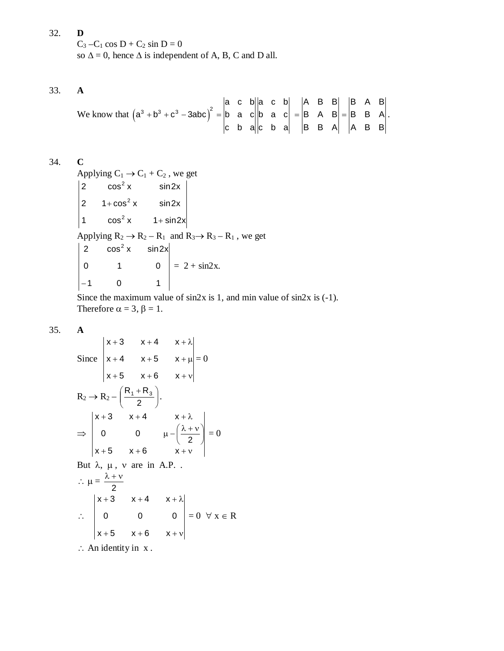32. **D**  $C_3 - C_1 \cos D + C_2 \sin D = 0$ so  $\Delta = 0$ , hence  $\Delta$  is independent of A, B, C and D all.

33. **A**

We know that 
$$
(a^3 + b^3 + c^3 - 3abc)^2 = \begin{vmatrix} a & c & b \ b & a & c \ c & b & a \end{vmatrix} \begin{vmatrix} a & c & b \ b & a & c \ c & b & a \end{vmatrix} = \begin{vmatrix} A & B & B \ B & A & B \ B & B & A \end{vmatrix} = \begin{vmatrix} B & A & B \ B & B & A \end{vmatrix}
$$
.

34. **C**

Applying  $C_1 \rightarrow C_1 + C_2$ , we get 1  $\cos^2 x$  1+sin2x 2  $1 + \cos^2 x$  sin2x 2  $\cos^2 x$  sin2x  $\cos^2 x$ Applying  $R_2 \rightarrow R_2 - R_1$  and  $R_3 \rightarrow R_3 - R_1$ , we get 1 0 1 0 1 0 2  $\cos^2 x$   $\sin 2x$  $-1$  $= 2 + \sin 2x.$ 

Since the maximum value of  $sin2x$  is 1, and min value of  $sin2x$  is  $(-1)$ . Therefore  $\alpha = 3$ ,  $\beta = 1$ .

35. **A**

Since 
$$
\begin{vmatrix} x+3 & x+4 & x+\lambda \\ x+4 & x+5 & x+\mu \\ x+5 & x+6 & x+\nu \end{vmatrix} = 0
$$
  
\n
$$
R_2 \rightarrow R_2 - \left(\frac{R_1 + R_3}{2}\right).
$$
\n
$$
\Rightarrow \begin{vmatrix} x+3 & x+4 & x+\lambda \\ 0 & 0 & \mu - \left(\frac{\lambda + \nu}{2}\right) \\ x+5 & x+6 & x+\nu \end{vmatrix} = 0
$$
\nBut  $\lambda$ ,  $\mu$ ,  $\nu$  are in A.P.  
\n
$$
\therefore \mu = \frac{\lambda + \nu}{2}
$$
\n
$$
\begin{vmatrix} x+3 & x+4 & x+\lambda \\ 0 & 0 & 0 \\ x+5 & x+6 & x+\nu \end{vmatrix} = 0 \forall x \in R
$$

 $\therefore$  An identity in x.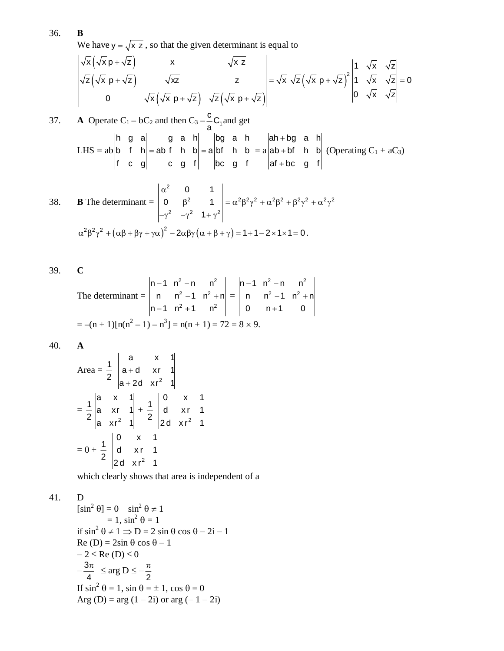We have  $y = \sqrt{x} z$ , so that the given determinant is equal to

$$
\begin{vmatrix} \sqrt{x} (\sqrt{x} p + \sqrt{z}) & x & \sqrt{x} z \\ \sqrt{z} (\sqrt{x} p + \sqrt{z}) & \sqrt{x} z & z \\ 0 & \sqrt{x} (\sqrt{x} p + \sqrt{z}) & \sqrt{z} (\sqrt{x} p + \sqrt{z}) \end{vmatrix} = \sqrt{x} \sqrt{z} (\sqrt{x} p + \sqrt{z})^2 \begin{vmatrix} 1 & \sqrt{x} & \sqrt{z} \\ 1 & \sqrt{x} & \sqrt{z} \\ 0 & \sqrt{x} & \sqrt{z} \end{vmatrix} = 0
$$

37. **A** Operate C<sub>1</sub> - bC<sub>2</sub> and then C<sub>3</sub> - 
$$
\frac{c}{a}
$$
C<sub>1</sub> and get  
LHS = ab  $\begin{vmatrix} h & g & a \\ b & f & h \\ f & c & g \end{vmatrix} = ab \begin{vmatrix} g & a & h \\ f & h & b \\ c & g & f \end{vmatrix} = a \begin{vmatrix} bg & a & h \\ bf & h & b \\ bc & g & f \end{vmatrix} = a \begin{vmatrix} ah + bg & a & h \\ ab + bf & h & b \\ af + bc & g & f \end{vmatrix}$  (Operating C<sub>1</sub> + aC<sub>3</sub>)

38. **B** The determinant = 
$$
\begin{vmatrix} \alpha^2 & 0 & 1 \\ 0 & \beta^2 & 1 \\ -\gamma^2 & -\gamma^2 & 1 + \gamma^2 \end{vmatrix} = \alpha^2 \beta^2 \gamma^2 + \alpha^2 \beta^2 + \beta^2 \gamma^2 + \alpha^2 \gamma^2
$$

$$
\alpha^2 \beta^2 \gamma^2 + (\alpha \beta + \beta \gamma + \gamma \alpha)^2 - 2\alpha \beta \gamma (\alpha + \beta + \gamma) = 1 + 1 - 2 \times 1 \times 1 = 0.
$$

39. **C**

The determinant = 
$$
\begin{vmatrix} n-1 & n^2 - n & n^2 \\ n & n^2 - 1 & n^2 + n \\ n-1 & n^2 + 1 & n^2 \end{vmatrix} = \begin{vmatrix} n-1 & n^2 - n & n^2 \\ n & n^2 - 1 & n^2 + n \\ 0 & n+1 & 0 \end{vmatrix}
$$
  
= -(n + 1)[n(n<sup>2</sup> - 1) - n<sup>3</sup>] = n(n + 1) = 72 = 8 × 9.

40. **A**

Area = 
$$
\frac{1}{2}
$$
  $\begin{vmatrix} a & x & 1 \\ a+d & xr & 1 \\ a+2d & xr^2 & 1 \end{vmatrix}$   
=  $\frac{1}{2}$   $\begin{vmatrix} a & x & 1 \\ a & xr & 1 \\ a & xr^2 & 1 \end{vmatrix} + \frac{1}{2} \begin{vmatrix} 0 & x & 1 \\ d & xr & 1 \\ 2d & xr^2 & 1 \end{vmatrix}$   
=  $0 + \frac{1}{2} \begin{vmatrix} 0 & x & 1 \\ d & xr & 1 \\ 2d & xr^2 & 1 \end{vmatrix}$ 

which clearly shows that area is independent of a

41. D

$$
[\sin^2 \theta] = 0 \quad \sin^2 \theta \neq 1
$$
  
= 1,  $\sin^2 \theta = 1$   
if  $\sin^2 \theta \neq 1 \Rightarrow D = 2 \sin \theta \cos \theta - 2i - 1$   
Re (D) = 2sin  $\theta \cos \theta - 1$   
 $- 2 \leq Re (D) \leq 0$   
 $-\frac{3\pi}{4} \leq arg D \leq -\frac{\pi}{2}$   
If  $\sin^2 \theta = 1$ ,  $\sin \theta = \pm 1$ ,  $\cos \theta = 0$   
Arg (D) = arg (1 - 2i) or arg (-1 - 2i)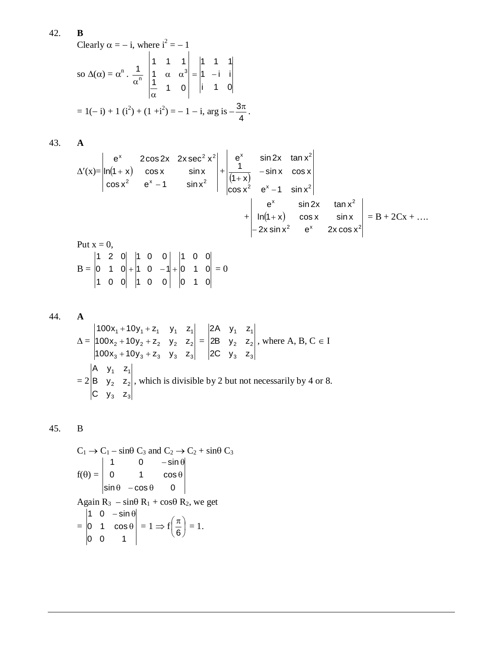Clearly 
$$
\alpha = -i
$$
, where  $i^2 = -1$   
\nso  $\Delta(\alpha) = \alpha^n \cdot \frac{1}{\alpha^n} \begin{vmatrix} 1 & 1 & 1 \\ 1 & \alpha & \alpha^3 \\ \frac{1}{\alpha} & 1 & 0 \end{vmatrix} = \begin{vmatrix} 1 & 1 & 1 \\ 1 & -i & i \\ i & 1 & 0 \end{vmatrix}$   
\n $= 1(-i) + 1(i^2) + (1 + i^2) = -1 - i$ , arg is  $-\frac{3\pi}{4}$ .

43. **A**

$$
\Delta'(x) = \begin{vmatrix} e^{x} & 2\cos 2x & 2x \sec^{2} x^{2} \\ \ln(1+x) & \cos x & \sin x \\ \cos x^{2} & e^{x} - 1 & \sin x^{2} \end{vmatrix} + \begin{vmatrix} e^{x} & \sin 2x & \tan x^{2} \\ \frac{1}{(1+x)} & -\sin x & \cos x \\ \cos x^{2} & e^{x} - 1 & \sin x^{2} \end{vmatrix}
$$
  
\n
$$
+ \begin{vmatrix} e^{x} & \sin 2x & \tan x^{2} \\ \ln(1+x) & \cos x & \sin x \\ -2x \sin x^{2} & e^{x} & 2x \cos x^{2} \end{vmatrix} = B + 2Cx + \dots
$$
  
\nPut  $x = 0$ ,

$$
B = \begin{vmatrix} 1 & 2 & 0 \\ 0 & 1 & 0 \\ 1 & 0 & 0 \end{vmatrix} + \begin{vmatrix} 1 & 0 & 0 \\ 1 & 0 & -1 \\ 1 & 0 & 0 \end{vmatrix} + \begin{vmatrix} 1 & 0 & 0 \\ 0 & 1 & 0 \\ 0 & 1 & 0 \end{vmatrix} = 0
$$

44. **A**  
\n
$$
\Delta = \begin{vmatrix}\n100x_1 + 10y_1 + z_1 & y_1 & z_1 \\
100x_2 + 10y_2 + z_2 & y_2 & z_2 \\
100x_3 + 10y_3 + z_3 & y_3 & z_3\n\end{vmatrix} = \begin{vmatrix}\n2A & y_1 & z_1 \\
2B & y_2 & z_2 \\
2C & y_3 & z_3\n\end{vmatrix}
$$
, where A, B, C  $\in I$   
\n $= 2 \begin{vmatrix}\nA & y_1 & z_1 \\
B & y_2 & z_2 \\
C & y_3 & z_3\n\end{vmatrix}$ , which is divisible by 2 but not necessarily by 4 or 8.

45. B

$$
C_1 \rightarrow C_1 - \sin\theta \ C_3 \text{ and } C_2 \rightarrow C_2 + \sin\theta \ C_3
$$
  
\n
$$
f(\theta) = \begin{vmatrix} 1 & 0 & -\sin\theta \\ 0 & 1 & \cos\theta \\ \sin\theta & -\cos\theta & 0 \end{vmatrix}
$$
  
\nAgain R<sub>3</sub> - sin $\theta$  R<sub>1</sub> + cos $\theta$  R<sub>2</sub>, we get  
\n
$$
= \begin{vmatrix} 1 & 0 & -\sin\theta \\ 0 & 1 & \cos\theta \\ 0 & 0 & 1 \end{vmatrix} = 1 \Rightarrow f\left(\frac{\pi}{6}\right) = 1.
$$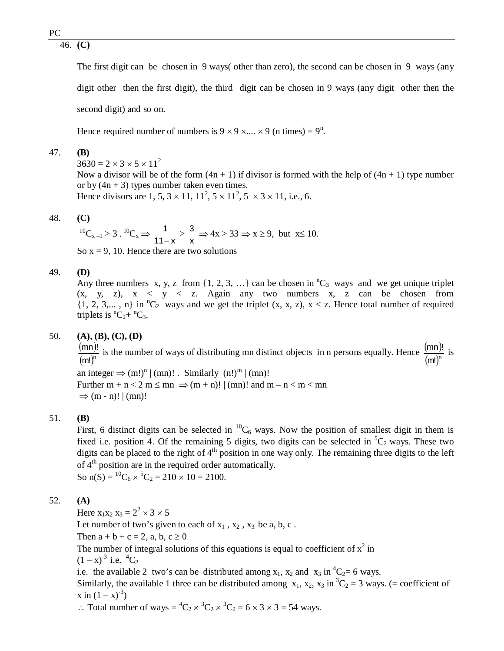46. **(C)**

The first digit can be chosen in 9 ways( other than zero), the second can be chosen in 9 ways (any digit other then the first digit), the third digit can be chosen in 9 ways (any digit other then the second digit) and so on.

Hence required number of numbers is  $9 \times 9 \times ... \times 9$  (n times) =  $9^{n}$ .

## 47. **(B)**

 $3630 = 2 \times 3 \times 5 \times 11^2$ Now a divisor will be of the form  $(4n + 1)$  if divisor is formed with the help of  $(4n + 1)$  type number or by  $(4n + 3)$  types number taken even times. Hence divisors are 1, 5,  $3 \times 11$ ,  $11^2$ ,  $5 \times 11^2$ ,  $5 \times 3 \times 11$ , i.e., 6.

## 48. **(C)**

$$
{}^{10}C_{x-1} > 3. \, {}^{10}C_x \Rightarrow \frac{1}{11-x} > \frac{3}{x} \Rightarrow 4x > 33 \Rightarrow x \ge 9, \text{ but } x \le 10.
$$
  
So  $x = 9, 10$ . Hence there are two solutions

#### 49. **(D)**

Any three numbers x, y, z from  $\{1, 2, 3, ...\}$  can be chosen in  ${}^nC_3$  ways and we get unique triplet  $(x, y, z)$ ,  $x < y < z$ . Again any two numbers x, z can be chosen from  $\{1, 2, 3,..., n\}$  in <sup>n</sup>C<sub>2</sub> ways and we get the triplet  $(x, x, z)$ ,  $x < z$ . Hence total number of required triplets is  ${}^nC_2 + {}^nC_3$ .

## 50. **(A), (B), (C), (D)**

(mn)!  $(m!)^n$  $\frac{mn)!}{(n+1)!}$  is the number of ways of distributing mn distinct objects in n persons equally. Hence  $\frac{(mn)!}{(mn)!}$  $(m!)^n$  $\frac{\text{mn}$ ! is an integer  $\Rightarrow$   $(m!)^n | (mn)!$ . Similarly  $(n!)^m | (mn)!$ Further  $m + n < 2$   $m \leq mn \Rightarrow (m + n)! | (mn)!$  and  $m - n < m < mn$  $\Rightarrow$  (m - n)! | (mn)!

## 51. **(B)**

First, 6 distinct digits can be selected in  ${}^{10}C_6$  ways. Now the position of smallest digit in them is fixed i.e. position 4. Of the remaining 5 digits, two digits can be selected in  ${}^5C_2$  ways. These two digits can be placed to the right of  $4<sup>th</sup>$  position in one way only. The remaining three digits to the left of 4<sup>th</sup> position are in the required order automatically. So  $n(S) = {}^{10}C_6 \times {}^5C_2 = 210 \times 10 = 2100$ .

## 52. **(A)**

Here  $x_1x_2 x_3 = 2^2 \times 3 \times 5$ 

Let number of two's given to each of  $x_1$ ,  $x_2$ ,  $x_3$  be a, b, c.

Then  $a + b + c = 2$ , a, b,  $c \ge 0$ 

The number of integral solutions of this equations is equal to coefficient of  $x^2$  in

 $(1 - x)^{-3}$  i.e.  ${}^{4}C_2$ 

i.e. the available 2 two's can be distributed among  $x_1$ ,  $x_2$  and  $x_3$  in  ${}^4C_2=6$  ways.

Similarly, the available 1 three can be distributed among  $x_1, x_2, x_3$  in  ${}^3C_2 = 3$  ways. (= coefficient of  $x \text{ in } (1 - x)^{-3}$ 

 $\therefore$  Total number of ways =  ${}^4C_2 \times {}^3C_2 \times {}^3C_2 = 6 \times 3 \times 3 = 54$  ways.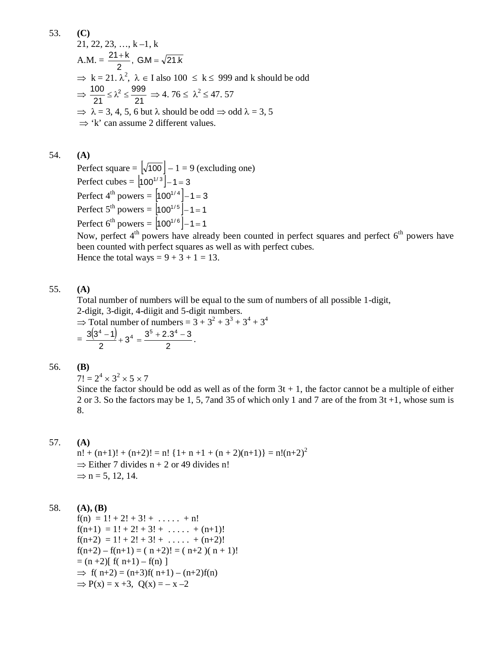53. (C)  
\n21, 22, 23, ..., k-1, k  
\nA.M. = 
$$
\frac{21+k}{2}
$$
, GM =  $\sqrt{21.k}$   
\n $\Rightarrow k = 21$ .  $\lambda^2$ ,  $\lambda \in I$  also 100  $\le k \le 999$  and k should be odd  
\n $\Rightarrow \frac{100}{21} \le \lambda^2 \le \frac{999}{21} \Rightarrow 4.76 \le \lambda^2 \le 47.57$   
\n $\Rightarrow \lambda = 3, 4, 5, 6$  but  $\lambda$  should be odd  $\Rightarrow$  odd  $\lambda = 3, 5$   
\n $\Rightarrow$  'k' can assume 2 different values.

## 54. **(A)**

Perfect square =  $\left[\sqrt{100}\right] - 1 = 9$  (excluding one) Perfect cubes =  $|100^{1/3}| - 1 = 3$ Perfect 4<sup>th</sup> powers =  $|100^{1/4}| - 1 = 3$ Perfect  $5^{th}$  powers =  $|100^{1/5}| - 1 = 1$ Perfect 6<sup>th</sup> powers =  $|100^{1/6}| - 1 = 1$ 

Now, perfect  $4<sup>th</sup>$  powers have already been counted in perfect squares and perfect  $6<sup>th</sup>$  powers have been counted with perfect squares as well as with perfect cubes. Hence the total ways =  $9 + 3 + 1 = 13$ .

# 55. **(A)**

Total number of numbers will be equal to the sum of numbers of all possible 1-digit, 2-digit, 3-digit, 4-diigit and 5-digit numbers.  $\Rightarrow$  Total number of numbers = 3 + 3<sup>2</sup> + 3<sup>3</sup> + 3<sup>4</sup> + 3<sup>4</sup>  $3(3^4 - 1)$  $3^5 + 2.3^4 - 3$  $5^{\circ}$  ,  $2^4$  $+2.3^4$  –

$$
=\frac{3(3^{4}-1)}{2}+3^{4}=\frac{3^{3}+2.3^{4}-3}{2}.
$$

#### 56. **(B)**

 $7! = 2^4 \times 3^2 \times 5 \times 7$ 

Since the factor should be odd as well as of the form  $3t + 1$ , the factor cannot be a multiple of either 2 or 3. So the factors may be 1, 5, 7and 35 of which only 1 and 7 are of the from 3t +1, whose sum is 8.

# 57. **(A)**

 $n! + (n+1)! + (n+2)! = n!$  {1+ n +1 + (n + 2)(n+1)} = n!(n+2)<sup>2</sup>  $\Rightarrow$  Either 7 divides n + 2 or 49 divides n!  $\Rightarrow$  n = 5, 12, 14.

## 58. **(A), (B)**

 $f(n) = 1! + 2! + 3! + \ldots + n!$  $f(n+1) = 1! + 2! + 3! + \ldots + (n+1)!$  $f(n+2) = 1! + 2! + 3! + \ldots + (n+2)!$  $f(n+2) - f(n+1) = (n+2)! = (n+2)(n+1)!$  $= (n+2)$ [ f( n+1) – f(n) ]  $\implies$  f( n+2) = (n+3)f( n+1) – (n+2)f(n)  $\Rightarrow$  P(x) = x +3, Q(x) = - x -2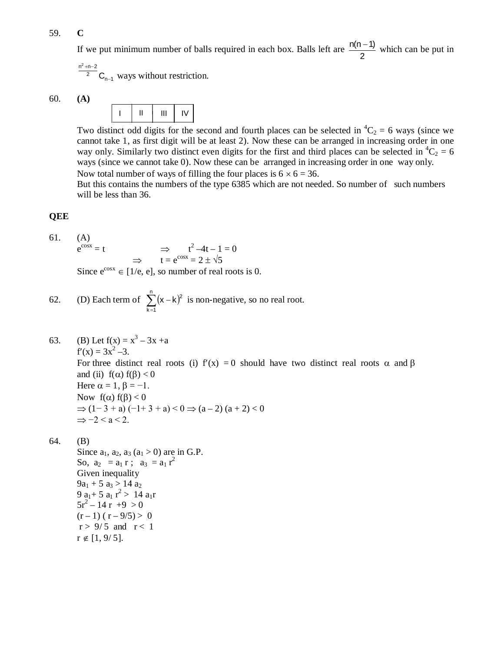#### 59. **C**

If we put minimum number of balls required in each box. Balls left are  $\frac{n(n-1)}{2}$ 2  $\frac{-1}{\sqrt{2}}$  which can be put in

2  $n^2 + n - 2$ <sup>2</sup>  $C_{n-1}$  $+n-2$  $_{-1}$  ways without restriction.

$$
60. (A)
$$

I II III IV

Two distinct odd digits for the second and fourth places can be selected in  ${}^4C_2 = 6$  ways (since we cannot take 1, as first digit will be at least 2). Now these can be arranged in increasing order in one way only. Similarly two distinct even digits for the first and third places can be selected in  ${}^{4}C_{2} = 6$ ways (since we cannot take 0). Now these can be arranged in increasing order in one way only. Now total number of ways of filling the four places is  $6 \times 6 = 36$ .

But this contains the numbers of the type 6385 which are not needed. So number of such numbers will be less than 36.

# **QEE**

61. (A)  $e^{cos x} = t$  $\cos x = t$   $\implies$   $t^2 - 4t - 1 = 0$  $\Rightarrow$   $t = e^{\cos x} = 2 \pm \sqrt{5}$ 

Since  $e^{cos x} \in [1/e, e]$ , so number of real roots is 0.

62. (D) Each term of 
$$
\sum_{k=1}^{n} (x-k)^2
$$
 is non-negative, so no real root.

63. (B) Let  $f(x) = x^3 - 3x + a$  $f'(x) = 3x^2 - 3.$ For three distinct real roots (i)  $f'(x) = 0$  should have two distinct real roots  $\alpha$  and  $\beta$ and (ii)  $f(\alpha) f(\beta) < 0$ Here  $\alpha = 1$ ,  $\beta = -1$ . Now  $f(\alpha) f(\beta) < 0$  $\Rightarrow$  (1−3 + a) (−1+3 + a) < 0  $\Rightarrow$  (a – 2) (a + 2) < 0  $\Rightarrow -2 < a < 2$ .

# 64. (B)

Since  $a_1$ ,  $a_2$ ,  $a_3$  ( $a_1 > 0$ ) are in G.P. So,  $a_2 = a_1 r$ ;  $a_3 = a_1 r^2$ Given inequality  $9a_1 + 5 a_3 > 14 a_2$ 9 a<sub>1</sub> + 5 a<sub>1</sub> r<sup>2</sup> > 14 a<sub>1</sub>r  $5r^2 - 14r + 9 > 0$  $(r-1)$  ( $r-9/5$ ) > 0  $r > 9/5$  and  $r < 1$  $r \notin [1, 9/5].$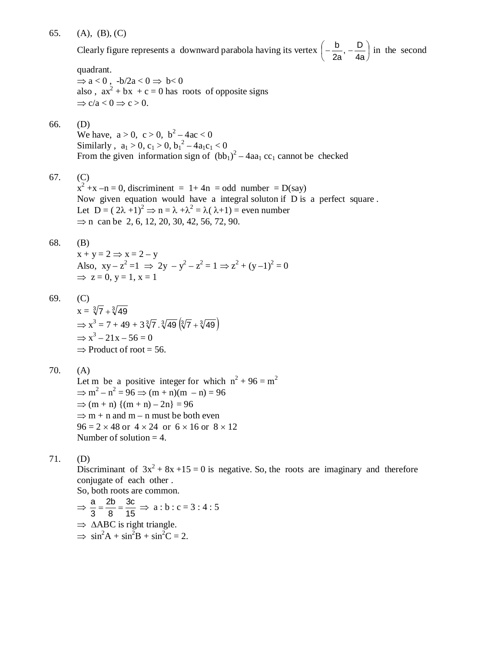## 65. (A), (B), (C)

Clearly figure represents a downward parabola having its vertex  $\left[-\frac{b}{2}, -\frac{c}{4}\right]$ J  $\left(-\frac{b}{2}, -\frac{D}{4}\right)$  $\setminus$  $\left(-\frac{b}{2},-\right)$ 4a  $, -\frac{D}{A}$ 2a  $\left(\frac{b}{c}\right), -\frac{D}{c}$  in the second

#### quadrant.

 $\Rightarrow$  a < 0, -b/2a < 0  $\Rightarrow$  b< 0 also,  $ax^2 + bx + c = 0$  has roots of opposite signs  $\Rightarrow$  c/a < 0  $\Rightarrow$  c > 0.

## 66. (D)

We have,  $a > 0$ ,  $c > 0$ ,  $b^2 - 4ac < 0$ Similarly,  $a_1 > 0$ ,  $c_1 > 0$ ,  $b_1^2 - 4a_1c_1 < 0$ From the given information sign of  $(bb_1)^2 - 4aa_1$  cc<sub>1</sub> cannot be checked

67. (C)

 $x^{2} + x - n = 0$ , discriminent = 1+4n = odd number = D(say) Now given equation would have a integral soluton if D is a perfect square . Let  $D = (2\lambda + 1)^2 \Rightarrow n = \lambda + \lambda^2 = \lambda(\lambda + 1) =$  even number  $\Rightarrow$  n can be 2, 6, 12, 20, 30, 42, 56, 72, 90.

## 68. (B)

 $x + y = 2 \implies x = 2 - y$ Also,  $xy - z^2 = 1 \implies 2y - y^2 - z^2 = 1 \implies z^2 + (y - 1)^2 = 0$  $\Rightarrow$  z = 0, y = 1, x = 1

69. (C)

 $x = \sqrt[3]{7} + \sqrt[3]{49}$  $\Rightarrow$  x<sup>3</sup> = 7 + 49 + 3 $\sqrt[3]{7}$ .  $\sqrt[3]{49}$  $(\sqrt[3]{7} + \sqrt[3]{49})$  $\Rightarrow$  x<sup>3</sup> - 21x - 56 = 0  $\Rightarrow$  Product of root = 56.

70. (A)

Let m be a positive integer for which  $n^2 + 96 = m^2$  $\Rightarrow$  m<sup>2</sup> - n<sup>2</sup> = 96  $\Rightarrow$  (m + n)(m - n) = 96  $\Rightarrow$  (m + n)  $\{(m + n) - 2n\} = 96$  $\Rightarrow$  m + n and m – n must be both even  $96 = 2 \times 48$  or  $4 \times 24$  or  $6 \times 16$  or  $8 \times 12$ Number of solution  $= 4$ .

71. (D)

Discriminant of  $3x^2 + 8x + 15 = 0$  is negative. So, the roots are imaginary and therefore conjugate of each other .

So, both roots are common.

$$
\Rightarrow \frac{a}{3} = \frac{2b}{8} = \frac{3c}{15} \Rightarrow a:b:c = 3:4:5
$$
  
\Rightarrow \triangle ABC is right triangle.  
\Rightarrow \sin^2 A + \sin^2 B + \sin^2 C = 2.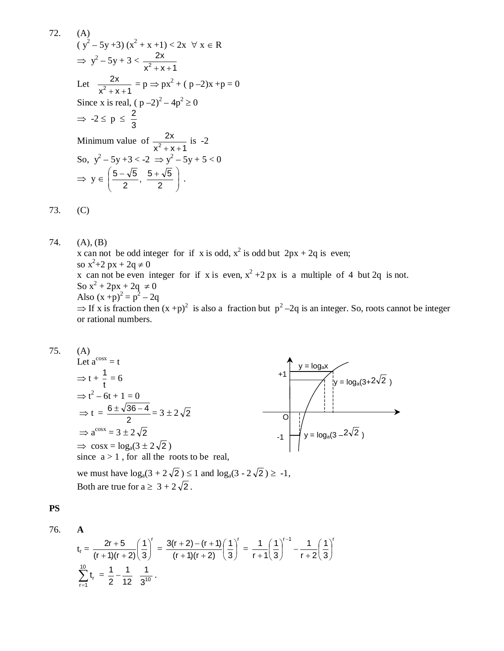(A)  
\n
$$
(y^2 - 5y + 3) (x^2 + x + 1) < 2x \forall x \in R
$$
  
\n⇒  $y^2 - 5y + 3 < \frac{2x}{x^2 + x + 1}$   
\nLet  $\frac{2x}{x^2 + x + 1} = p \Rightarrow px^2 + (p - 2)x + p = 0$   
\nSince x is real,  $(p - 2)^2 - 4p^2 \ge 0$   
\n⇒  $-2 \le p \le \frac{2}{3}$   
\nMinimum value of  $\frac{2x}{x^2 + x + 1}$  is -2  
\nSo,  $y^2 - 5y + 3 < -2 \Rightarrow y^2 - 5y + 5 < 0$   
\n⇒  $y \in \left(\frac{5 - \sqrt{5}}{2}, \frac{5 + \sqrt{5}}{2}\right)$ .

73. (C)

72.

74. (A), (B) x can not be odd integer for if x is odd,  $x^2$  is odd but  $2px + 2q$  is even; so  $x^2+2 px + 2q \neq 0$ x can not be even integer for if x is even,  $x^2 + 2px$  is a multiple of 4 but 2q is not. So  $x^2 + 2px + 2q \neq 0$ Also  $(x + p)^2 = p^2 - 2q$  $\Rightarrow$  If x is fraction then  $(x+p)^2$  is also a fraction but  $p^2-2q$  is an integer. So, roots cannot be integer or rational numbers.

$$
75. (A)
$$

Let 
$$
a^{\cos x} = t
$$
  
\n $\Rightarrow t + \frac{1}{t} = 6$   
\n $\Rightarrow t^2 - 6t + 1 = 0$   
\n $\Rightarrow t = \frac{6 \pm \sqrt{36 - 4}}{2} = 3 \pm 2\sqrt{2}$   
\n $\Rightarrow a^{\cos x} = 3 \pm 2\sqrt{2}$   
\n $\Rightarrow \cos x = \log_a(3 \pm 2\sqrt{2})$   
\nsince  $a > 1$ , for all the roots to be real,

we must have  $log_a(3 + 2\sqrt{2}) \le 1$  and  $log_a(3 - 2\sqrt{2}) \ge -1$ , Both are true for  $a \geq 3 + 2\sqrt{2}$ .

**PS**

$$
76. \qquad \mathbf{A}
$$

$$
t_r = \frac{2r + 5}{(r + 1)(r + 2)} \left(\frac{1}{3}\right)^r = \frac{3(r + 2) - (r + 1)}{(r + 1)(r + 2)} \left(\frac{1}{3}\right)^r = \frac{1}{r + 1} \left(\frac{1}{3}\right)^{r - 1} - \frac{1}{r + 2} \left(\frac{1}{3}\right)^r
$$
  

$$
\sum_{r=1}^{10} t_r = \frac{1}{2} - \frac{1}{12} - \frac{1}{3^{10}}.
$$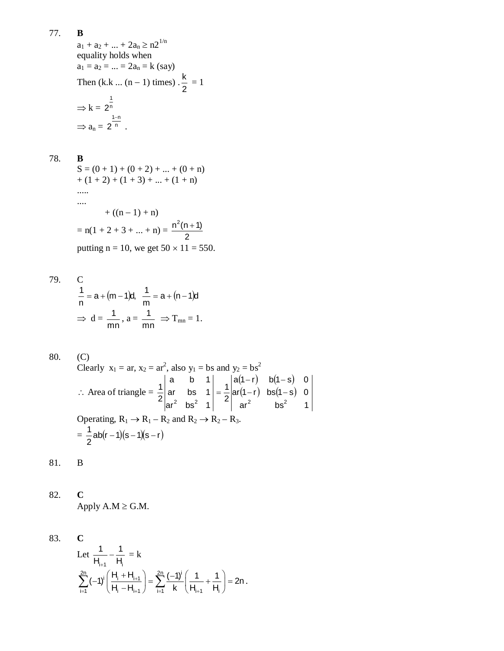$a_1 + a_2 + ... + 2a_n \ge n2^{1/n}$ equality holds when  $a_1 = a_2 = ... = 2a_n = k$  (say) Then  $(k.k \dots (n-1)$  times). 2  $\frac{k}{2} = 1$  $\Rightarrow k = 2^n$ 1 2  $\Rightarrow$  a<sub>n</sub> = 2<sup>n</sup>  $1 - n$ 2 -.

78. **B**

$$
S = (0 + 1) + (0 + 2) + ... + (0 + n)
$$
  
+ (1 + 2) + (1 + 3) + ... + (1 + n)  
......  
+ ((n - 1) + n)  
= n(1 + 2 + 3 + ... + n) =  $\frac{n^2(n + 1)}{2}$   
putting n = 10, we get 50 × 11 = 550.

79. C  
\n
$$
\frac{1}{n} = a + (m-1)d, \quad \frac{1}{m} = a + (n-1)d
$$
\n
$$
\Rightarrow d = \frac{1}{mn}, a = \frac{1}{mn} \Rightarrow T_{mn} = 1.
$$

80. (C)  
\nClearly 
$$
x_1 = ar
$$
,  $x_2 = ar^2$ , also  $y_1 = bs$  and  $y_2 = bs^2$   
\n $\therefore$  Area of triangle  $= \frac{1}{2} \begin{vmatrix} a & b & 1 \\ ar & bs & 1 \\ ar^2 & bs^2 & 1 \end{vmatrix} = \frac{1}{2} \begin{vmatrix} a(1-r) & b(1-s) & 0 \\ ar(1-r) & bs(1-s) & 0 \\ ar^2 & bs^2 & 1 \end{vmatrix}$   
\nOperating,  $R_1 \rightarrow R_1 - R_2$  and  $R_2 \rightarrow R_2 - R_3$ .  
\n $= \frac{1}{2} ab(r-1)(s-1)(s-r)$ 

81. B

82. **C**  
Apply A.M 
$$
\geq
$$
 G.M.

83. **C**  
Let 
$$
\frac{1}{H_{i+1}} - \frac{1}{H_i} = k
$$

$$
\sum_{i=1}^{2n} (-1)^i \left( \frac{H_i + H_{i+1}}{H_i - H_{i+1}} \right) = \sum_{i=1}^{2n} \frac{(-1)^i}{k} \left( \frac{1}{H_{i+1}} + \frac{1}{H_i} \right) = 2n.
$$